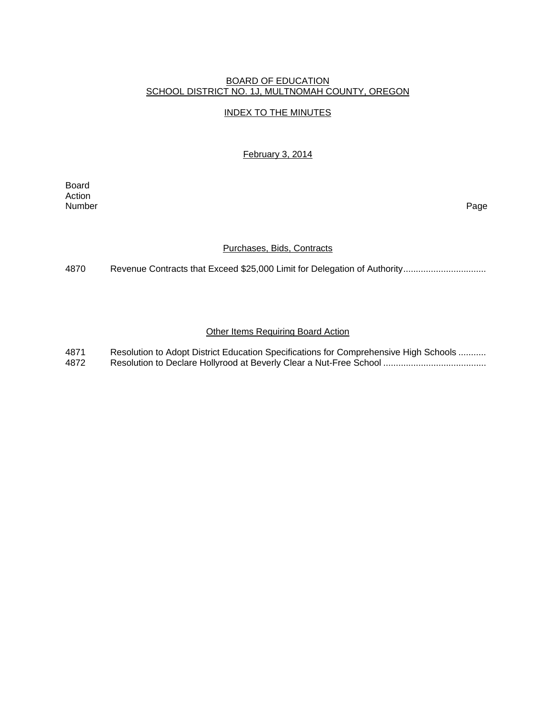### BOARD OF EDUCATION SCHOOL DISTRICT NO. 1J, MULTNOMAH COUNTY, OREGON

# INDEX TO THE MINUTES

February 3, 2014

Board Action Number Page

### Purchases, Bids, Contracts

4870 Revenue Contracts that Exceed \$25,000 Limit for Delegation of Authority.................................

## **Other Items Requiring Board Action**

4871 Resolution to Adopt District Education Specifications for Comprehensive High Schools .......... 4872 Resolution to Declare Hollyrood at Beverly Clear a Nut-Free School .........................................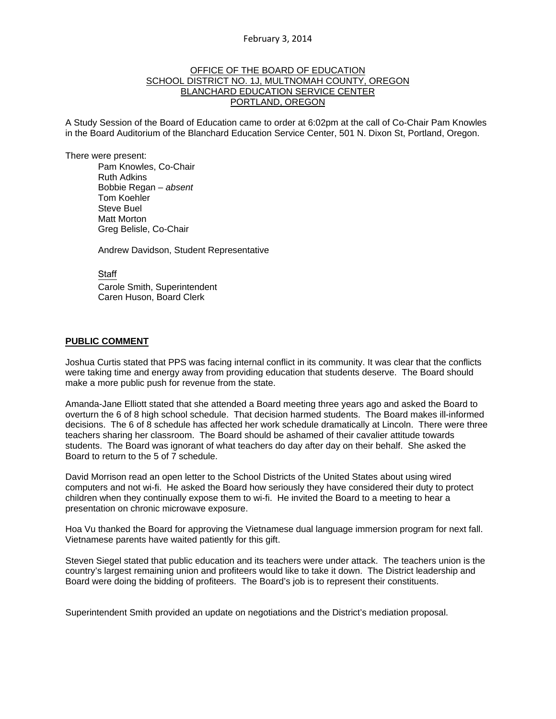### OFFICE OF THE BOARD OF EDUCATION SCHOOL DISTRICT NO. 1J, MULTNOMAH COUNTY, OREGON BLANCHARD EDUCATION SERVICE CENTER PORTLAND, OREGON

A Study Session of the Board of Education came to order at 6:02pm at the call of Co-Chair Pam Knowles in the Board Auditorium of the Blanchard Education Service Center, 501 N. Dixon St, Portland, Oregon.

There were present: Pam Knowles, Co-Chair Ruth Adkins Bobbie Regan – *absent* Tom Koehler Steve Buel Matt Morton Greg Belisle, Co-Chair

Andrew Davidson, Student Representative

**Staff** 

 Carole Smith, Superintendent Caren Huson, Board Clerk

#### **PUBLIC COMMENT**

Joshua Curtis stated that PPS was facing internal conflict in its community. It was clear that the conflicts were taking time and energy away from providing education that students deserve. The Board should make a more public push for revenue from the state.

Amanda-Jane Elliott stated that she attended a Board meeting three years ago and asked the Board to overturn the 6 of 8 high school schedule. That decision harmed students. The Board makes ill-informed decisions. The 6 of 8 schedule has affected her work schedule dramatically at Lincoln. There were three teachers sharing her classroom. The Board should be ashamed of their cavalier attitude towards students. The Board was ignorant of what teachers do day after day on their behalf. She asked the Board to return to the 5 of 7 schedule.

David Morrison read an open letter to the School Districts of the United States about using wired computers and not wi-fi. He asked the Board how seriously they have considered their duty to protect children when they continually expose them to wi-fi. He invited the Board to a meeting to hear a presentation on chronic microwave exposure.

Hoa Vu thanked the Board for approving the Vietnamese dual language immersion program for next fall. Vietnamese parents have waited patiently for this gift.

Steven Siegel stated that public education and its teachers were under attack. The teachers union is the country's largest remaining union and profiteers would like to take it down. The District leadership and Board were doing the bidding of profiteers. The Board's job is to represent their constituents.

Superintendent Smith provided an update on negotiations and the District's mediation proposal.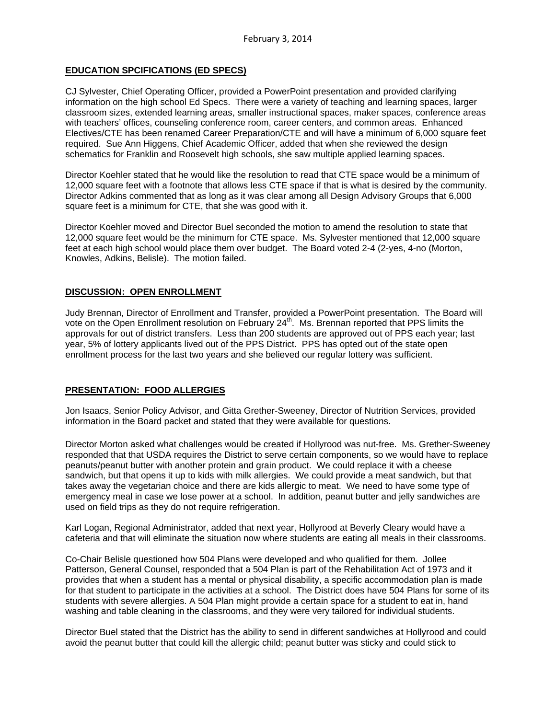# **EDUCATION SPCIFICATIONS (ED SPECS)**

CJ Sylvester, Chief Operating Officer, provided a PowerPoint presentation and provided clarifying information on the high school Ed Specs. There were a variety of teaching and learning spaces, larger classroom sizes, extended learning areas, smaller instructional spaces, maker spaces, conference areas with teachers' offices, counseling conference room, career centers, and common areas. Enhanced Electives/CTE has been renamed Career Preparation/CTE and will have a minimum of 6,000 square feet required. Sue Ann Higgens, Chief Academic Officer, added that when she reviewed the design schematics for Franklin and Roosevelt high schools, she saw multiple applied learning spaces.

Director Koehler stated that he would like the resolution to read that CTE space would be a minimum of 12,000 square feet with a footnote that allows less CTE space if that is what is desired by the community. Director Adkins commented that as long as it was clear among all Design Advisory Groups that 6,000 square feet is a minimum for CTE, that she was good with it.

Director Koehler moved and Director Buel seconded the motion to amend the resolution to state that 12,000 square feet would be the minimum for CTE space. Ms. Sylvester mentioned that 12,000 square feet at each high school would place them over budget. The Board voted 2-4 (2-yes, 4-no (Morton, Knowles, Adkins, Belisle). The motion failed.

## **DISCUSSION: OPEN ENROLLMENT**

Judy Brennan, Director of Enrollment and Transfer, provided a PowerPoint presentation. The Board will vote on the Open Enrollment resolution on February 24<sup>th</sup>. Ms. Brennan reported that PPS limits the approvals for out of district transfers. Less than 200 students are approved out of PPS each year; last year, 5% of lottery applicants lived out of the PPS District. PPS has opted out of the state open enrollment process for the last two years and she believed our regular lottery was sufficient.

#### **PRESENTATION: FOOD ALLERGIES**

Jon Isaacs, Senior Policy Advisor, and Gitta Grether-Sweeney, Director of Nutrition Services, provided information in the Board packet and stated that they were available for questions.

Director Morton asked what challenges would be created if Hollyrood was nut-free. Ms. Grether-Sweeney responded that that USDA requires the District to serve certain components, so we would have to replace peanuts/peanut butter with another protein and grain product. We could replace it with a cheese sandwich, but that opens it up to kids with milk allergies. We could provide a meat sandwich, but that takes away the vegetarian choice and there are kids allergic to meat. We need to have some type of emergency meal in case we lose power at a school. In addition, peanut butter and jelly sandwiches are used on field trips as they do not require refrigeration.

Karl Logan, Regional Administrator, added that next year, Hollyrood at Beverly Cleary would have a cafeteria and that will eliminate the situation now where students are eating all meals in their classrooms.

Co-Chair Belisle questioned how 504 Plans were developed and who qualified for them. Jollee Patterson, General Counsel, responded that a 504 Plan is part of the Rehabilitation Act of 1973 and it provides that when a student has a mental or physical disability, a specific accommodation plan is made for that student to participate in the activities at a school. The District does have 504 Plans for some of its students with severe allergies. A 504 Plan might provide a certain space for a student to eat in, hand washing and table cleaning in the classrooms, and they were very tailored for individual students.

Director Buel stated that the District has the ability to send in different sandwiches at Hollyrood and could avoid the peanut butter that could kill the allergic child; peanut butter was sticky and could stick to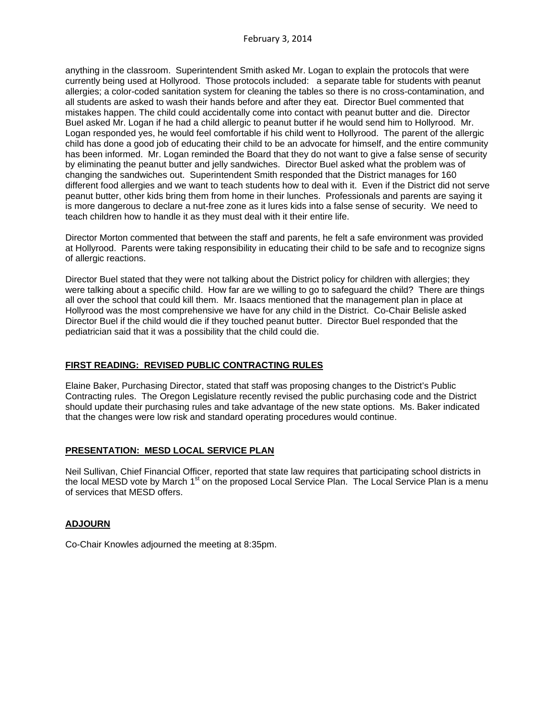anything in the classroom. Superintendent Smith asked Mr. Logan to explain the protocols that were currently being used at Hollyrood. Those protocols included: a separate table for students with peanut allergies; a color-coded sanitation system for cleaning the tables so there is no cross-contamination, and all students are asked to wash their hands before and after they eat. Director Buel commented that mistakes happen. The child could accidentally come into contact with peanut butter and die. Director Buel asked Mr. Logan if he had a child allergic to peanut butter if he would send him to Hollyrood. Mr. Logan responded yes, he would feel comfortable if his child went to Hollyrood. The parent of the allergic child has done a good job of educating their child to be an advocate for himself, and the entire community has been informed. Mr. Logan reminded the Board that they do not want to give a false sense of security by eliminating the peanut butter and jelly sandwiches. Director Buel asked what the problem was of changing the sandwiches out. Superintendent Smith responded that the District manages for 160 different food allergies and we want to teach students how to deal with it. Even if the District did not serve peanut butter, other kids bring them from home in their lunches. Professionals and parents are saying it is more dangerous to declare a nut-free zone as it lures kids into a false sense of security. We need to teach children how to handle it as they must deal with it their entire life.

Director Morton commented that between the staff and parents, he felt a safe environment was provided at Hollyrood. Parents were taking responsibility in educating their child to be safe and to recognize signs of allergic reactions.

Director Buel stated that they were not talking about the District policy for children with allergies; they were talking about a specific child. How far are we willing to go to safeguard the child? There are things all over the school that could kill them. Mr. Isaacs mentioned that the management plan in place at Hollyrood was the most comprehensive we have for any child in the District. Co-Chair Belisle asked Director Buel if the child would die if they touched peanut butter. Director Buel responded that the pediatrician said that it was a possibility that the child could die.

### **FIRST READING: REVISED PUBLIC CONTRACTING RULES**

Elaine Baker, Purchasing Director, stated that staff was proposing changes to the District's Public Contracting rules. The Oregon Legislature recently revised the public purchasing code and the District should update their purchasing rules and take advantage of the new state options. Ms. Baker indicated that the changes were low risk and standard operating procedures would continue.

## **PRESENTATION: MESD LOCAL SERVICE PLAN**

Neil Sullivan, Chief Financial Officer, reported that state law requires that participating school districts in the local MESD vote by March 1<sup>st</sup> on the proposed Local Service Plan. The Local Service Plan is a menu of services that MESD offers.

## **ADJOURN**

Co-Chair Knowles adjourned the meeting at 8:35pm.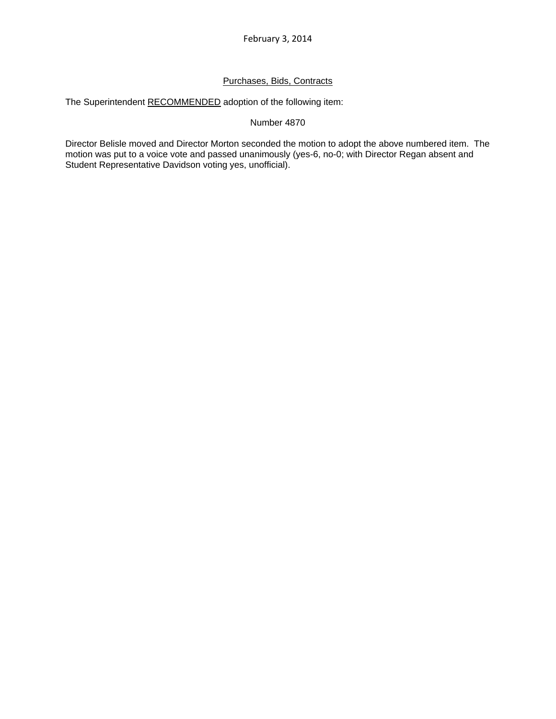# Purchases, Bids, Contracts

The Superintendent RECOMMENDED adoption of the following item:

### Number 4870

Director Belisle moved and Director Morton seconded the motion to adopt the above numbered item. The motion was put to a voice vote and passed unanimously (yes-6, no-0; with Director Regan absent and Student Representative Davidson voting yes, unofficial).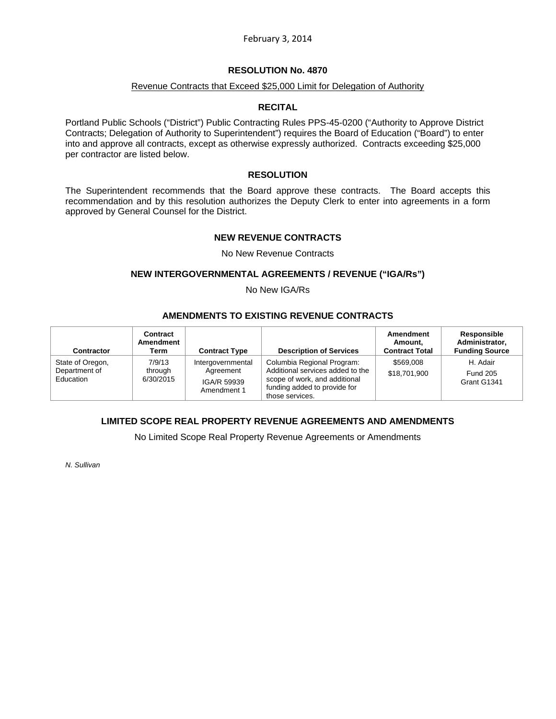### **RESOLUTION No. 4870**

### Revenue Contracts that Exceed \$25,000 Limit for Delegation of Authority

#### **RECITAL**

Portland Public Schools ("District") Public Contracting Rules PPS-45-0200 ("Authority to Approve District Contracts; Delegation of Authority to Superintendent") requires the Board of Education ("Board") to enter into and approve all contracts, except as otherwise expressly authorized. Contracts exceeding \$25,000 per contractor are listed below.

### **RESOLUTION**

The Superintendent recommends that the Board approve these contracts. The Board accepts this recommendation and by this resolution authorizes the Deputy Clerk to enter into agreements in a form approved by General Counsel for the District.

#### **NEW REVENUE CONTRACTS**

#### No New Revenue Contracts

#### **NEW INTERGOVERNMENTAL AGREEMENTS / REVENUE ("IGA/Rs")**

No New IGA/Rs

# **AMENDMENTS TO EXISTING REVENUE CONTRACTS**

| <b>Contractor</b>                              | Contract<br>Amendment<br>Term  | <b>Contract Type</b>                                         | <b>Description of Services</b>                                                                                                                     | Amendment<br>Amount.<br><b>Contract Total</b> | <b>Responsible</b><br>Administrator.<br><b>Funding Source</b> |
|------------------------------------------------|--------------------------------|--------------------------------------------------------------|----------------------------------------------------------------------------------------------------------------------------------------------------|-----------------------------------------------|---------------------------------------------------------------|
| State of Oregon,<br>Department of<br>Education | 7/9/13<br>through<br>6/30/2015 | Intergovernmental<br>Agreement<br>IGA/R 59939<br>Amendment 1 | Columbia Regional Program:<br>Additional services added to the<br>scope of work, and additional<br>funding added to provide for<br>those services. | \$569,008<br>\$18,701,900                     | H. Adair<br><b>Fund 205</b><br>Grant G1341                    |

## **LIMITED SCOPE REAL PROPERTY REVENUE AGREEMENTS AND AMENDMENTS**

No Limited Scope Real Property Revenue Agreements or Amendments

*N. Sullivan*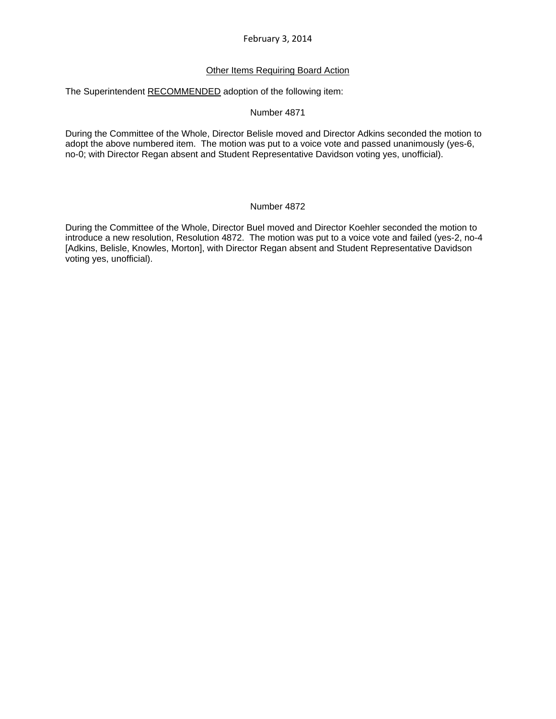### Other Items Requiring Board Action

The Superintendent RECOMMENDED adoption of the following item:

#### Number 4871

During the Committee of the Whole, Director Belisle moved and Director Adkins seconded the motion to adopt the above numbered item. The motion was put to a voice vote and passed unanimously (yes-6, no-0; with Director Regan absent and Student Representative Davidson voting yes, unofficial).

#### Number 4872

During the Committee of the Whole, Director Buel moved and Director Koehler seconded the motion to introduce a new resolution, Resolution 4872. The motion was put to a voice vote and failed (yes-2, no-4 [Adkins, Belisle, Knowles, Morton], with Director Regan absent and Student Representative Davidson voting yes, unofficial).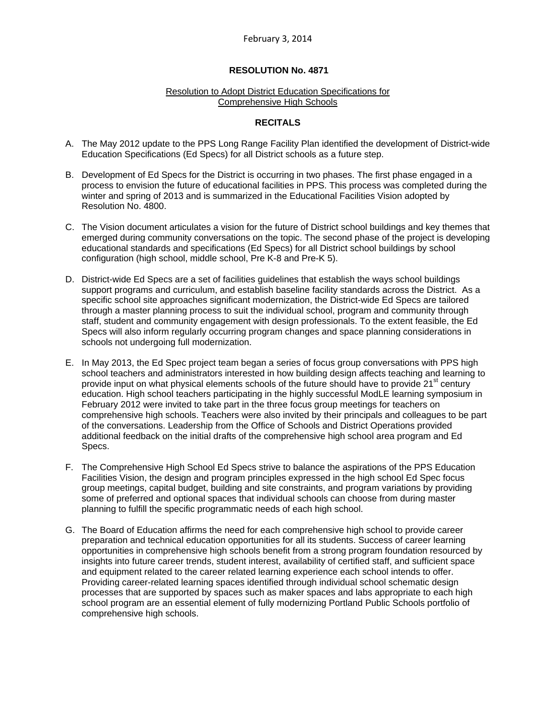### **RESOLUTION No. 4871**

#### Resolution to Adopt District Education Specifications for Comprehensive High Schools

### **RECITALS**

- A. The May 2012 update to the PPS Long Range Facility Plan identified the development of District-wide Education Specifications (Ed Specs) for all District schools as a future step.
- B. Development of Ed Specs for the District is occurring in two phases. The first phase engaged in a process to envision the future of educational facilities in PPS. This process was completed during the winter and spring of 2013 and is summarized in the Educational Facilities Vision adopted by Resolution No. 4800.
- C. The Vision document articulates a vision for the future of District school buildings and key themes that emerged during community conversations on the topic. The second phase of the project is developing educational standards and specifications (Ed Specs) for all District school buildings by school configuration (high school, middle school, Pre K-8 and Pre-K 5).
- D. District-wide Ed Specs are a set of facilities guidelines that establish the ways school buildings support programs and curriculum, and establish baseline facility standards across the District. As a specific school site approaches significant modernization, the District-wide Ed Specs are tailored through a master planning process to suit the individual school, program and community through staff, student and community engagement with design professionals. To the extent feasible, the Ed Specs will also inform regularly occurring program changes and space planning considerations in schools not undergoing full modernization.
- E. In May 2013, the Ed Spec project team began a series of focus group conversations with PPS high school teachers and administrators interested in how building design affects teaching and learning to provide input on what physical elements schools of the future should have to provide  $21^{st}$  century education. High school teachers participating in the highly successful ModLE learning symposium in February 2012 were invited to take part in the three focus group meetings for teachers on comprehensive high schools. Teachers were also invited by their principals and colleagues to be part of the conversations. Leadership from the Office of Schools and District Operations provided additional feedback on the initial drafts of the comprehensive high school area program and Ed Specs.
- F. The Comprehensive High School Ed Specs strive to balance the aspirations of the PPS Education Facilities Vision, the design and program principles expressed in the high school Ed Spec focus group meetings, capital budget, building and site constraints, and program variations by providing some of preferred and optional spaces that individual schools can choose from during master planning to fulfill the specific programmatic needs of each high school.
- G. The Board of Education affirms the need for each comprehensive high school to provide career preparation and technical education opportunities for all its students. Success of career learning opportunities in comprehensive high schools benefit from a strong program foundation resourced by insights into future career trends, student interest, availability of certified staff, and sufficient space and equipment related to the career related learning experience each school intends to offer. Providing career-related learning spaces identified through individual school schematic design processes that are supported by spaces such as maker spaces and labs appropriate to each high school program are an essential element of fully modernizing Portland Public Schools portfolio of comprehensive high schools.